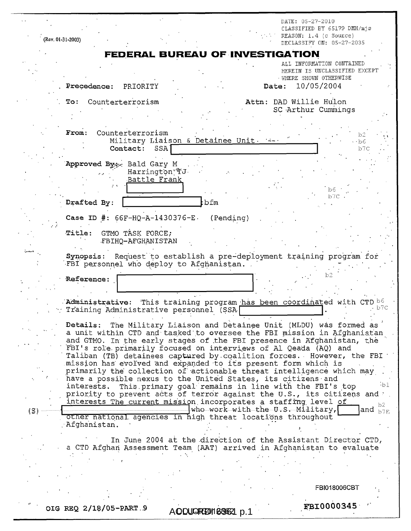|                                                                     |                                                                                                                                                                                                                   | DATE: 05-27-2010<br>CLASSIFIED BY 65179 DMH/mjs                                       |  |  |  |
|---------------------------------------------------------------------|-------------------------------------------------------------------------------------------------------------------------------------------------------------------------------------------------------------------|---------------------------------------------------------------------------------------|--|--|--|
|                                                                     | (Rev. 01-31-2003)                                                                                                                                                                                                 | REASON: 1.4 (c Source)<br>DECLASSIFY ON: 05-27-2035                                   |  |  |  |
|                                                                     | <b>FEDERAL BUREAU OF INVESTIGATION</b>                                                                                                                                                                            |                                                                                       |  |  |  |
|                                                                     |                                                                                                                                                                                                                   | ALL INFORMATION CONTAINED<br>HEREIN IS UNCLASSIFIED EXCEPT<br>· WHERE SHOWN OTHERWISE |  |  |  |
|                                                                     | Precedence: PRIORITY                                                                                                                                                                                              | 10/05/2004<br>Date:                                                                   |  |  |  |
|                                                                     | Counterterrorism<br>$T$ o:                                                                                                                                                                                        | Attn: DAD Willie Hulon<br>SC Arthur Cummings                                          |  |  |  |
|                                                                     |                                                                                                                                                                                                                   |                                                                                       |  |  |  |
|                                                                     | Counterterrorism<br>From:<br>Military Liaison & Detainee Unit.<br>SSA1<br>Contact:                                                                                                                                | b2<br>$\cdot$ b6<br>b7C                                                               |  |  |  |
|                                                                     | Approved By: Bald Gary M                                                                                                                                                                                          |                                                                                       |  |  |  |
|                                                                     | Harrington TJ.<br>Battle Frank                                                                                                                                                                                    | b6.                                                                                   |  |  |  |
|                                                                     | bfm!<br>Drafted By:                                                                                                                                                                                               | b7C                                                                                   |  |  |  |
|                                                                     | Case ID #: $66F-HQ-A-1430376-E.$<br>(Pending)                                                                                                                                                                     |                                                                                       |  |  |  |
|                                                                     | Title: GTMO TASK FORCE;<br>FBIHQ-AFGHANISTAN                                                                                                                                                                      |                                                                                       |  |  |  |
|                                                                     | Request to establish a pre-deployment training program for<br>Synopsis:<br>FBI personnel who deploy to Afghanistan.                                                                                               |                                                                                       |  |  |  |
|                                                                     | <b>Reference:</b>                                                                                                                                                                                                 |                                                                                       |  |  |  |
|                                                                     | Administrative: This training program has been coordinated with CTD be<br>$\gamma$ Training Administrative personnel (SSA)                                                                                        | o7C                                                                                   |  |  |  |
|                                                                     | The Military Liaison and Detainee Unit (MLDU) was formed as<br><b>Details:</b><br>a unit within CTD and tasked to oversee the FBI mission in Afghanistan                                                          |                                                                                       |  |  |  |
|                                                                     | and GTMO. In the early stages of the FBI presence in Afghanistan, the<br>FBI's role primarily focused on interviews of Al Qeada (AQ) and<br>Taliban (TB) detainees captured by coalition forces. However, the FBI |                                                                                       |  |  |  |
|                                                                     | mission has evolved and expanded to its present form which is<br>primarily the collection of actionable threat intelligence which may<br>have a possible nexus to the United States, its citizens and             |                                                                                       |  |  |  |
|                                                                     | This primary goal remains in line with the FBI's top<br>interests.<br>priority to prevent acts of terror against the U.S., its citizens and Y.                                                                    | $\cdot b1$                                                                            |  |  |  |
| (S).                                                                | interests The current mission incorporates a staffing level of<br>who work with the U.S. Military,                                                                                                                | b2<br>and $_{\rm b7E}$                                                                |  |  |  |
|                                                                     | Other national agencies in high threat locations throughout<br>Afghanistan.                                                                                                                                       |                                                                                       |  |  |  |
|                                                                     | In June 2004 at the direction of the Assistant Director CTD,<br>a CTD Afghan Assessment Team (AAT) arrived in Afghanistan to evaluate                                                                             |                                                                                       |  |  |  |
|                                                                     |                                                                                                                                                                                                                   |                                                                                       |  |  |  |
|                                                                     |                                                                                                                                                                                                                   | FBI018006CBT                                                                          |  |  |  |
|                                                                     |                                                                                                                                                                                                                   |                                                                                       |  |  |  |
| <b>FBI0000345</b><br>OIG REQ 2/18/05-PART.9<br>AODUGREDI1836621 p.1 |                                                                                                                                                                                                                   |                                                                                       |  |  |  |

 $\hat{\lambda}$  .

t.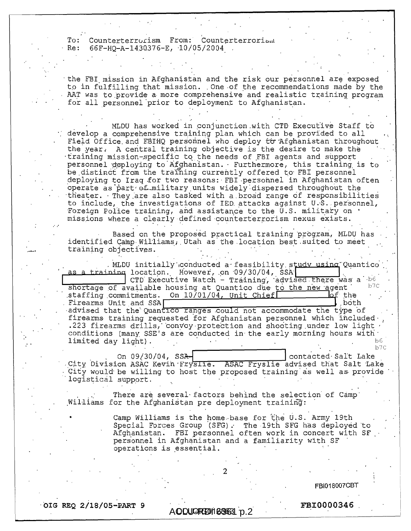To: Counterterrorism From: Counterterrorism<br>Re: 66F-HQ-A-1430376-E, 10/05/2004 Re: 66F-HQ-A-1430376-E, 10/05/2004 .

'the FBI mission in Afghanistan and the risk our personnel are exposed to in fulfilling that mission. ,One.of the recommendations made by the AAT was to provide a more comprehensive and realistic training program for all personnel'prior to deployment to Afghanistan.

MLDU has worked in conjunction.with CTD Executive Staff to develop a comprehensive training plan which can be provided to all Field Office and FBIHQ personnel who deploy to Afghanistan throughout the year: A central training objective is the desire to make the training mission-specific to the needs of FBI agents and support personnel deploying to Afghanistan. Furthermore, this training is to be distinct from the training currently offered to FBI personnel deploying to Iraq for two reasons: FBI personnel in Afghanistan often operate as part of military units widely dispersed throughout the theater. They are also tasked with a broad range of responsibilities to include, the investigations of IED attacks against  $U.S.$  personnel, Foreign Police training, and assistance to the U.S. military on • missions where a clearly defined counterterrorism nexus exists.

Based on the proposed practical training program, MLDU has identified Camp Williams, Utah as the location best suited to meet training objectives.

. MLDU initially conducted a feasibility study using Quantico a training location. However, on 09/30/04, SSA CTD Executive Watch - Training, advised there was a  $^{16}$ shortage of available housing at Quantico due to the new agent. staffing commitments. On  $10/01/04$ , Unit Chief Firearms Unit and SSA advised that the Quantico ranges could not accommodate the type of firearms training requested for Afghanistan personnel which included-, .223 firearms drills, convoy protection and shooting under low light conditions (many SSE's are conducted in'the early morning hours with' limited day light).  $b6$ b7C

On 09/30/04, SSA-<br>
contacted-Salt Lake City Division ASAC Kevin Fryslie. ASAC Fryslie advised that Salt Lake Gity would be willing to host the proposed training as well as provide logistical support.

There are several-factors behind the selection of Camp' Williams for the Afghanistan pre deployment training:

> Camp Williams is the home base for the U.S. Army 19th Special Forces Group (SFG). The 19th SFG has deployed to Afghanistan. FBI personnel often work in concert with SF personnel in Afghanistan and a familiarity with SF operations is essential.

> > FBI018007CBT

**. OIG REQ 2/18/05-PART 9 <b>FBI0000346** 

AODUGREDI 636631 p.2

2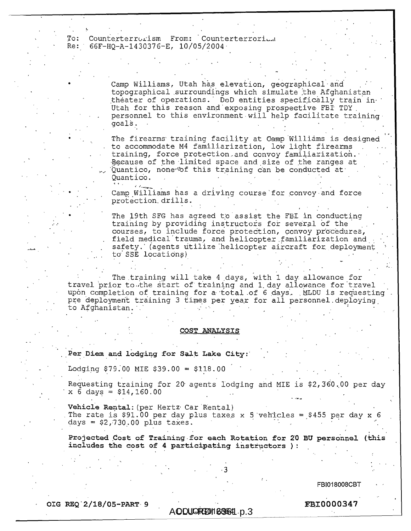To: Counterterrorism From: Counterterrori... Re: 66F-HQ-A-1430376-E, 10/05/2004.

> . Camp Williams, Utah has elevation, geographical and topographical surroundings which simulate the Afghanistan theater of operations. DoD entities specifically train in Utah for this reason and exposing prospective FBI TDY. personnel to this environment will help facilitate training goalS. • '

The firearms training facility at Camp Williams is designed to accommodate M4 familiarization, low light firearms training, force protection,and convoy familiarization.- Because of the limited space and size of the ranges at 'Quantico, none tof this training can be conducted at Quantico.

Camp Williams has a driving course for convoy and force protection. drills.

The 19th SFG has agreed to assist the FBI in conducting training by providihg instructors for several of the courses, to include force protection, convoy procedures, field medical'trauma, and helicopter,familiarization and safety.' (agents utilize helicopter aircraft for deployment . to SSE locations)

The.training will take 4,days, with 1 day. allowance for travel prior to the start of training and 1 day allowance for travel upon completion of training for a total of 6 days. MLDU is requesting pre deployment training 3 times per year for all personnel.deplcying, to Afghanistan.

## **COST ANALYSIS**

**Per Diem and lodging for Salt Lake City:'** 

Lodging  $$79.00$  MIE  $$39.00 = $118.00$ 

Requesting training for 20 agents lodging and MIE is  $$2,360.00$  per day  $x \overline{6}$  days = \$14,160.00

**Vehicle** Rental: (per Hertz. Car 'Rental) The rate is \$91.00 per day plus taxes x 5 vehicles = \$455 per day x 6 days =  $$2,730.00$  plus taxes.

**Projected Cost of Training.for each Rotation for 20 BU personnel (this includes the cost of 4 participating instructors ):** 

 $\cdot$  3  $-$ 

FBI018008CBT

**OIG REQ 2/18/05-PART-9 FBI0000347** 

AO DUG REDI 188631 p.3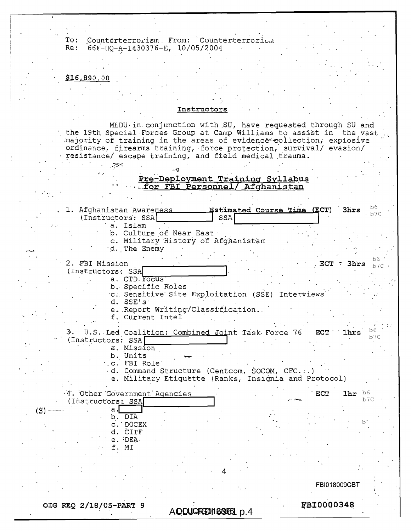To: Counterterrorism. From: Counterterroriz-a Re: 66F-HQ-A-1430376-E, 10/05/2004

## $$16,890.00$

## **Instructors**

MLDU•in.conjunction with ,SU, have requested through SU and the 19th Special Forces Group at Camp Williams to assist in the vast majority of training in the areas of evidence-collection, explosive ordinance, firearms training, -force protection, survival/ evasion/ resistance/ escape training, and field medical. trauma.

## **Pre-Deployment Training Syllabus —.\_forFBI Personnel/ Afghanistan**

1. Afghanistan Awareness **1. Estimated Course Time (ECT)** 3hrs  $\frac{100}{b7}$ (Instructors: SSA) [SSA] a. Islam b. Culture of Near East c. Military History of Afghanistan d. The Enemy •2. FBI Mission .ECT **l'** 3**hrs** b7c •<sup>y</sup> (Instructors: SSA a. CTD. Focus b. Specific Roles c. Sensitive Site Exploitation (SSE) Interviews d. SSE's e,.Report Writing/Classification.. f. Current Intel a. U.S.,Led Coalition: Combined Joint Task. Force 76 **ECT lhrs** b6  $(Instructor: SSA)$ 4'. Other 'GOvernment ' Agencies (Instructors:, SSAI  $\mathbf{a}$  . b. DIA c. DOCEX d. CITE e. :DEAf. MI **ECT** 1hr  $b6$ b7C bJ 4 FBI018009CBT 1 a. Mission b. Units  $\cdot$  .c. FBI Role' , d. Command Structure (Centcom, SOCOM, CFC.:.) e. Military Etiquette (Ranks, Insignia and Protocol)

**OIG REQ 2/18/05-PART 9 FBI0600348** 

(S).

AQDUGREDI168651 p.4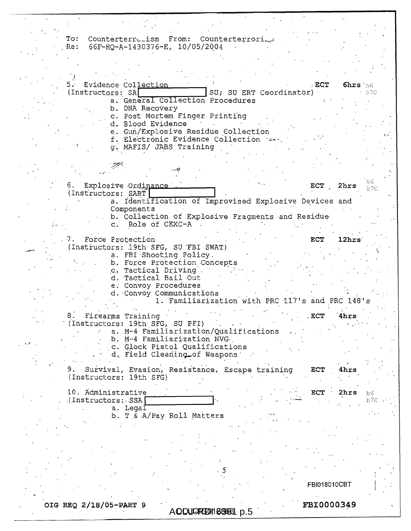To: Counterterrulism From: Counterterroriled  $R$ e: 66F-HQ-A-1430376-E, 10/05/2004

• '5 -Evidence Collection .ECT 6hrs'b6 SU; SU ERT Coordinator) a. General Collection Procedures b. DNA Recovery c. Post Mortem Finger Printing d. Blood Evidence e. Gun/Explosive Residue Collection f. Electronic Evidence Collection g. MAFIS/ JABS Training . • '-2-7-'; re. 6. Explosive , Ordinence - ECT 2hrs b7C (Instructors: SABT) a. Identification of Improvised Explosive Devices and Components b. Collection of Explosive Fragments and Residue c. Role of CEXC-A **Force Protection Force Protection Force Protection** .19th SFG, SU 'FBI-SWAT) a. FBI•Shooting Policy.<br>b. Force Protection Concepts c. Tactical Driving. d. 'Tactical Bail Out e: Convoy Procedures d.•Convoy Communications 1. Familiarization with PRC 117's and PRC 148's • 8. Firearms Training . The contract of the second state of the second state of the second state of the second state of the second state of the second state of the second state of the second state of the second state of the (Instructors: 19th SFG, SU PFI) a. M-4 Familiarization/Qualifications b. M-4 Familiarization NVGc. Glock Pistol Qualifications d, Field Cleaning\_of Weapons 9. Survival, Evasion, Resistance, Escape training ECT 4hrs (Instructors: 19th SFG) 10. Administrative ECT 2hrs b6 , •(Instructors:-SSA1  $b7c$ a. Legal b. T & A/Pay Roll Matters FB1018010CBT

OIG REQ 2/18/05-PART 9 **FBI30000349** 

AODUGREDI168661 p.5